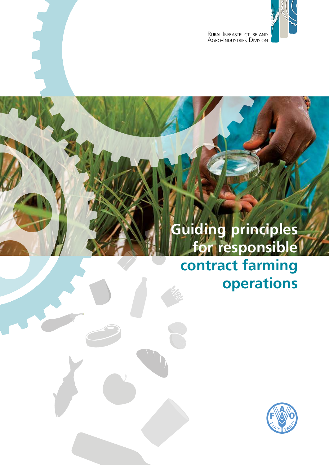

Rural Infrastructure and Agro-Industries Division

# **Guiding principles for responsible**

## **contract farming operations**

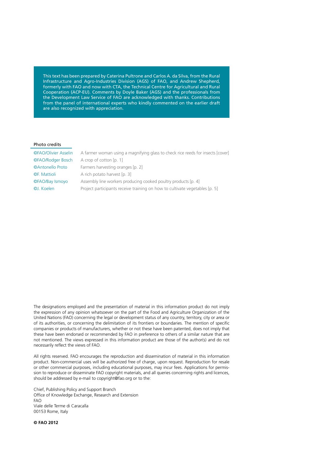This text has been prepared by Caterina Pultrone and Carlos A. da Silva, from the Rural Infrastructure and Agro-Industries Division (AGS) of FAO, and Andrew Shepherd, formerly with FAO and now with CTA, the Technical Centre for Agricultural and Rural Cooperation (ACP-EU). Comments by Doyle Baker (AGS) and the professionals from the Development Law Service of FAO are acknowledged with thanks. Contributions from the panel of international experts who kindly commented on the earlier draft are also recognized with appreciation.

#### Photo credits

| <b>©FAO/Olivier Asselin</b> | A farmer woman using a magnifying glass to check rice reeds for insects [cover] |
|-----------------------------|---------------------------------------------------------------------------------|
| ©FAO/Rodger Bosch           | A crop of cotton $[p, 1]$                                                       |
| <b>©Antonello Proto</b>     | Farmers harvesting oranges [p. 2]                                               |
| <b>CF.</b> Mattioli         | A rich potato harvest [p. 3]                                                    |
| <b>©FAO/Bay Ismoyo</b>      | Assembly line workers producing cooked poultry products [p. 4]                  |
| ©J. Koelen                  | Project participants receive training on how to cultivate vegetables [p. 5]     |
|                             |                                                                                 |

The designations employed and the presentation of material in this information product do not imply the expression of any opinion whatsoever on the part of the Food and Agriculture Organization of the United Nations (FAO) concerning the legal or development status of any country, territory, city or area or of its authorities, or concerning the delimitation of its frontiers or boundaries. The mention of specific companies or products of manufacturers, whether or not these have been patented, does not imply that these have been endorsed or recommended by FAO in preference to others of a similar nature that are not mentioned. The views expressed in this information product are those of the author(s) and do not necessarily reflect the views of FAO.

All rights reserved. FAO encourages the reproduction and dissemination of material in this information product. Non-commercial uses will be authorized free of charge, upon request. Reproduction for resale or other commercial purposes, including educational purposes, may incur fees. Applications for permission to reproduce or disseminate FAO copyright materials, and all queries concerning rights and licences, should be addressed by e-mail to copyright@fao.org or to the:

Chief, Publishing Policy and Support Branch Office of Knowledge Exchange, Research and Extension FAO Viale delle Terme di Caracalla 00153 Rome, Italy

**© FAO 2012**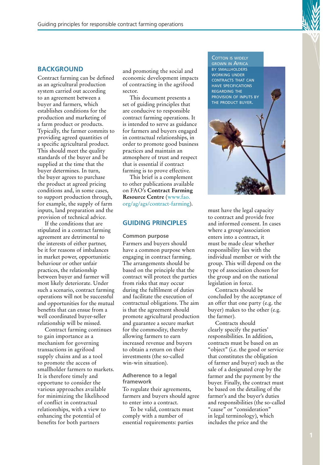



### **BACKGROUND**

Contract farming can be defined as an agricultural production system carried out according to an agreement between a buyer and farmers, which establishes conditions for the production and marketing of a farm product or products. Typically, the farmer commits to providing agreed quantities of a specific agricultural product. This should meet the quality standards of the buyer and be supplied at the time that the buyer determines. In turn, the buyer agrees to purchase the product at agreed pricing conditions and, in some cases, to support production through, for example, the supply of farm inputs, land preparation and the provision of technical advice.

If the conditions that are stipulated in a contract farming agreement are detrimental to the interests of either partner, be it for reasons of imbalances in market power, opportunistic behaviour or other unfair practices, the relationship between buyer and farmer will most likely deteriorate. Under such a scenario, contract farming operations will not be successful and opportunities for the mutual benefits that can ensue from a well coordinated buyer-seller relationship will be missed.

Contract farming continues to gain importance as a mechanism for governing transactions in agrifood supply chains and as a tool to promote the access of smallholder farmers to markets. It is therefore timely and opportune to consider the various approaches available for minimizing the likelihood of conflict in contractual relationships, with a view to enhancing the potential of benefits for both partners

and promoting the social and economic development impacts of contracting in the agrifood sector.

This document presents a set of guiding principles that are conducive to responsible contract farming operations. It is intended to serve as guidance for farmers and buyers engaged in contractual relationships, in order to promote good business practices and maintain an atmosphere of trust and respect that is essential if contract farming is to prove effective.

This brief is a complement to other publications available on FAO's **Contract Farming Resource Centre** (www.fao. org/ag/ags/contract-farming).

#### **Guiding principles**

#### **Common purpose**

Farmers and buyers should have a common purpose when engaging in contract farming. The arrangements should be based on the principle that the contract will protect the parties from risks that may occur during the fulfilment of duties and facilitate the execution of contractual obligations. The aim is that the agreement should promote agricultural production and guarantee a secure market for the commodity, thereby allowing farmers to earn increased revenue and buyers to obtain a return on their investments (the so-called win-win situation).

#### **Adherence to a legal framework**

To regulate their agreements, farmers and buyers should agree to enter into a contract.

To be valid, contracts must comply with a number of essential requirements: parties COTTON IS WIDELY grown in Africa by smallholders working under contracts that can have specifications regarding the provision of inputs by the product buyer.



must have the legal capacity to contract and provide free and informed consent. In cases where a group/association enters into a contract, it must be made clear whether responsibility lies with the individual member or with the group. This will depend on the type of association chosen for the group and on the national legislation in force.

Contracts should be concluded by the acceptance of an offer that one party (e.g. the buyer) makes to the other (e.g. the farmer).

Contracts should clearly specify the parties' responsibilities. In addition, contracts must be based on an "object" (i.e. the good or service that constitutes the obligation of farmer and buyer) such as the sale of a designated crop by the farmer and the payment by the buyer. Finally, the contract must be based on the detailing of the farmer's and the buyer's duties and responsibilities (the so-called "cause" or "consideration" in legal terminology), which includes the price and the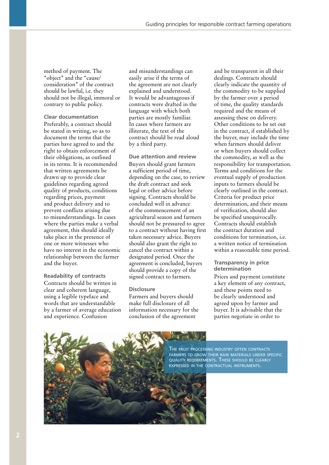method of payment. The "object" and the "cause/ consideration" of the contract should be lawful, i.e. they should not be illegal, immoral or contrary to public policy.

#### **Clear documentation**

Preferably, a contract should be stated in writing, so as to document the terms that the parties have agreed to and the right to obtain enforcement of their obligations, as outlined in its terms. It is recommended that written agreements be drawn up to provide clear guidelines regarding agreed quality of products, conditions regarding prices, payment and product delivery and to prevent conflicts arising due to misunderstandings. In cases where the parties make a verbal agreement, this should ideally take place in the presence of one or more witnesses who have no interest in the economic relationship between the farmer and the buyer.

#### **Readability of contracts**

Contracts should be written in clear and coherent language, using a legible typeface and words that are understandable by a farmer of average education and experience. Confusion

and misunderstandings can easily arise if the terms of the agreement are not clearly explained and understood. It would be advantageous if contracts were drafted in the language with which both parties are mostly familiar. In cases where farmers are illiterate, the text of the contract should be read aloud by a third party.

**Due attention and review** Buyers should grant farmers a sufficient period of time, depending on the case, to review the draft contract and seek legal or other advice before signing. Contracts should be concluded well in advance of the commencement of an agricultural season and farmers should not be pressured to agree to a contract without having first taken necessary advice. Buyers should also grant the right to cancel the contract within a designated period. Once the agreement is concluded, buyers should provide a copy of the signed contract to farmers.

#### **Disclosure**

Farmers and buyers should make full disclosure of all information necessary for the conclusion of the agreement

and be transparent in all their dealings. Contracts should clearly indicate the quantity of the commodity to be supplied by the farmer over a period of time, the quality standards required and the means of assessing these on delivery. Other conditions to be set out in the contract, if established by the buyer, may include the time when farmers should deliver or when buyers should collect the commodity, as well as the responsibility for transportation. Terms and conditions for the eventual supply of production inputs to farmers should be clearly outlined in the contract. Criteria for product price determination, and their means of verification, should also be specified unequivocally. Contracts should establish the contract duration and conditions for termination, i.e. a written notice of termination within a reasonable time period.

#### **Transparency in price determination**

Prices and payment constitute a key element of any contract, and these points need to be clearly understood and agreed upon by farmer and buyer. It is advisable that the parties negotiate in order to

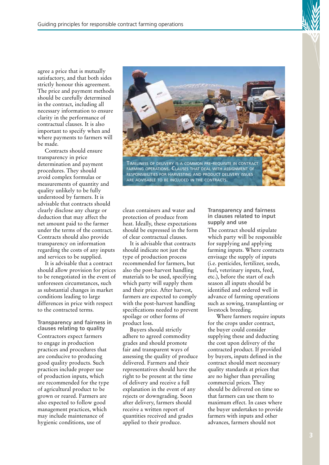

agree a price that is mutually satisfactory, and that both sides strictly honour this agreement. The price and payment methods should be carefully determined in the contract, including all necessary information to ensure clarity in the performance of contractual clauses. It is also important to specify when and where payments to farmers will be made.

Contracts should ensure transparency in price determination and payment procedures. They should avoid complex formulas or measurements of quantity and quality unlikely to be fully understood by farmers. It is advisable that contracts should clearly disclose any charge or deduction that may affect the net amount paid to the farmer under the terms of the contract. Contracts should also provide transparency on information regarding the costs of any inputs and services to be supplied.

It is advisable that a contract should allow provision for prices to be renegotiated in the event of unforeseen circumstances, such as substantial changes in market conditions leading to large differences in price with respect to the contracted terms.

**Transparency and fairness in clauses relating to quality** Contractors expect farmers to engage in production practices and procedures that are conducive to producing good quality products. Such practices include proper use of production inputs, which are recommended for the type of agricultural product to be grown or reared. Farmers are also expected to follow good management practices, which may include maintenance of hygienic conditions, use of



clean containers and water and protection of produce from heat. Ideally, these expectations should be expressed in the form of clear contractual clauses.

It is advisable that contracts should indicate not just the type of production process recommended for farmers, but also the post-harvest handling materials to be used, specifying which party will supply them and their price. After harvest, farmers are expected to comply with the post-harvest handling specifications needed to prevent spoilage or other forms of product loss.

Buyers should strictly adhere to agreed commodity grades and should promote fair and transparent ways of assessing the quality of produce delivered. Farmers and their representatives should have the right to be present at the time of delivery and receive a full explanation in the event of any rejects or downgrading. Soon after delivery, farmers should receive a written report of quantities received and grades applied to their produce.

#### **Transparency and fairness in clauses related to input supply and use**

The contract should stipulate which party will be responsible for supplying and applying farming inputs. Where contracts envisage the supply of inputs (i.e. pesticides, fertilizer, seeds, fuel, veterinary inputs, feed, etc.), before the start of each season all inputs should be identified and ordered well in advance of farming operations such as sowing, transplanting or livestock breeding.

 Where farmers require inputs for the crops under contract, the buyer could consider supplying these and deducting the cost upon delivery of the contracted product. If provided by buyers, inputs defined in the contract should meet necessary quality standards at prices that are no higher than prevailing commercial prices. They should be delivered on time so that farmers can use them to maximum effect. In cases where the buyer undertakes to provide farmers with inputs and other advances, farmers should not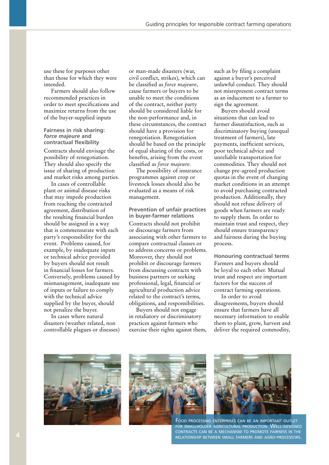use these for purposes other than those for which they were intended.

Farmers should also follow recommended practices in order to meet specifications and maximize returns from the use of the buyer-supplied inputs

#### **Fairness in risk sharing:**  *force majeure* **and contractual flexibility**

Contracts should envisage the possibility of renegotiation. They should also specify the issue of sharing of production and market risks among parties.

In cases of controllable plant or animal disease risks that may impede production from reaching the contracted agreement, distribution of the resulting financial burden should be assigned in a way that is commensurate with each party's responsibility for the event. Problems caused, for example, by inadequate inputs or technical advice provided by buyers should not result in financial losses for farmers. Conversely, problems caused by mismanagement, inadequate use of inputs or failure to comply with the technical advice supplied by the buyer, should not penalize the buyer.

In cases where natural disasters (weather related, non controllable plagues or diseases) or man-made disasters (war, civil conflict, strikes), which can be classified as *force majeure*, cause farmers or buyers to be unable to meet the conditions of the contract, neither party should be considered liable for the non-performance and, in these circumstances, the contract should have a provision for renegotiation. Renegotiation should be based on the principle of equal sharing of the costs, or benefits, arising from the event classified as *force majeure.*

The possibility of insurance programmes against crop or livestock losses should also be evaluated as a means of risk management.

**Prevention of unfair practices in buyer-farmer relations**  Contracts should not prohibit or discourage farmers from associating with other farmers to compare contractual clauses or to address concerns or problems. Moreover, they should not prohibit or discourage farmers from discussing contracts with business partners or seeking professional, legal, financial or agricultural production advice related to the contract's terms, obligations, and responsibilities.

Buyers should not engage in retaliatory or discriminatory practices against farmers who exercise their rights against them, such as by filing a complaint against a buyer's perceived unlawful conduct. They should not misrepresent contract terms as an inducement to a farmer to sign the agreement.

Buyers should avoid situations that can lead to farmer dissatisfaction, such as discriminatory buying (unequal treatment of farmers), late payments, inefficient services, poor technical advice and unreliable transportation for commodities. They should not change pre-agreed production quotas in the event of changing market conditions in an attempt to avoid purchasing contracted production. Additionally, they should not refuse delivery of goods when farmers are ready to supply them. In order to maintain trust and respect, they should ensure transparency and fairness during the buying process.

**Honouring contractual terms** Farmers and buyers should be loyal to each other. Mutual trust and respect are important factors for the success of contract farming operations.

In order to avoid disagreements, buyers should ensure that farmers have all necessary information to enable them to plant, grow, harvest and deliver the required commodity,







Food processing enterprises can be an important outlet for smallholder agricultural production. Well-designed contracts can be a mechanism to promote fairness in the relationship between small farmers and agro-processors.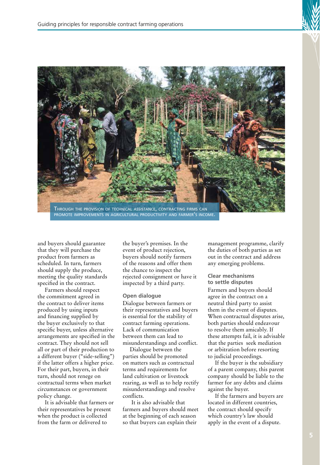

promote improvements in agricultural productivity and farmer's income.

and buyers should guarantee that they will purchase the product from farmers as scheduled. In turn, farmers should supply the produce, meeting the quality standards specified in the contract.

Farmers should respect the commitment agreed in the contract to deliver items produced by using inputs and financing supplied by the buyer exclusively to that specific buyer, unless alternative arrangements are specified in the contract. They should not sell all or part of their production to a different buyer ("side-selling") if the latter offers a higher price. For their part, buyers, in their turn, should not renege on contractual terms when market circumstances or government policy change.

It is advisable that farmers or their representatives be present when the product is collected from the farm or delivered to

the buyer's premises. In the event of product rejection, buyers should notify farmers of the reasons and offer them the chance to inspect the rejected consignment or have it inspected by a third party.

#### **Open dialogue**

Dialogue between farmers or their representatives and buyers is essential for the stability of contract farming operations. Lack of communication between them can lead to misunderstandings and conflict.

Dialogue between the parties should be promoted on matters such as contractual terms and requirements for land cultivation or livestock rearing, as well as to help rectify misunderstandings and resolve conflicts.

 It is also advisable that farmers and buyers should meet at the beginning of each season so that buyers can explain their

management programme, clarify the duties of both parties as set out in the contract and address any emerging problems.

#### **Clear mechanisms to settle disputes**

Farmers and buyers should agree in the contract on a neutral third party to assist them in the event of disputes. When contractual disputes arise, both parties should endeavour to resolve them amicably. If these attempts fail, it is advisable that the parties seek mediation or arbitration before resorting to judicial proceedings.

If the buyer is the subsidiary of a parent company, this parent company should be liable to the farmer for any debts and claims against the buyer.

If the farmers and buyers are located in different countries, the contract should specify which country's law should apply in the event of a dispute.